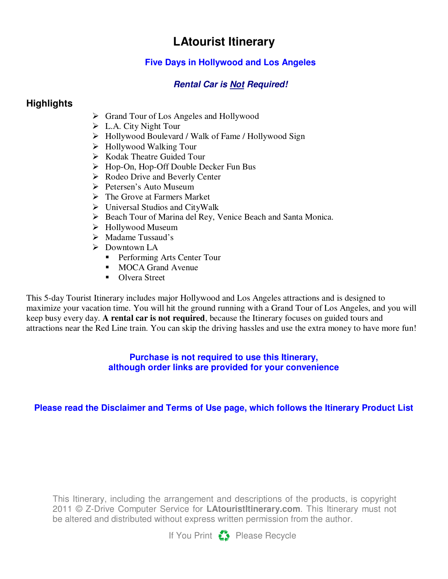# **LAtourist Itinerary**

### **Five Days in Hollywood and Los Angeles**

### **Rental Car is Not Required!**

## **Highlights**

- Grand Tour of Los Angeles and Hollywood
- L.A. City Night Tour
- Hollywood Boulevard / Walk of Fame / Hollywood Sign
- Hollywood Walking Tour
- $\triangleright$  Kodak Theatre Guided Tour
- Hop-On, Hop-Off Double Decker Fun Bus
- $\triangleright$  Rodeo Drive and Beverly Center
- $\triangleright$  Petersen's Auto Museum
- $\triangleright$  The Grove at Farmers Market
- $\triangleright$  Universal Studios and CityWalk
- ▶ Beach Tour of Marina del Rey, Venice Beach and Santa Monica.
- $\triangleright$  Hollywood Museum
- $\triangleright$  Madame Tussaud's
- Downtown LA
	- **-** Performing Arts Center Tour
	- **MOCA Grand Avenue**
	- **-** Olvera Street

This 5-day Tourist Itinerary includes major Hollywood and Los Angeles attractions and is designed to maximize your vacation time. You will hit the ground running with a Grand Tour of Los Angeles, and you will keep busy every day. **A rental car is not required**, because the Itinerary focuses on guided tours and attractions near the Red Line train. You can skip the driving hassles and use the extra money to have more fun!

#### **Purchase is not required to use this Itinerary, although order links are provided for your convenience**

### **Please read the Disclaimer and Terms of Use page, which follows the Itinerary Product List**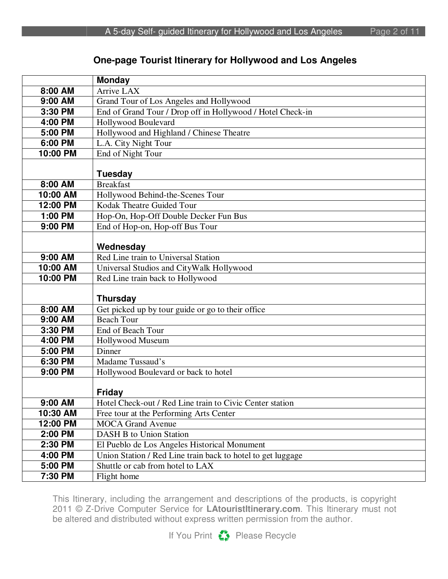### **One-page Tourist Itinerary for Hollywood and Los Angeles**

|                      | <b>Monday</b>                                               |
|----------------------|-------------------------------------------------------------|
| $\overline{8:00}$ AM | Arrive LAX                                                  |
| 9:00 AM              | Grand Tour of Los Angeles and Hollywood                     |
| 3:30 PM              | End of Grand Tour / Drop off in Hollywood / Hotel Check-in  |
| 4:00 PM              | Hollywood Boulevard                                         |
| 5:00 PM              | Hollywood and Highland / Chinese Theatre                    |
| 6:00 PM              | L.A. City Night Tour                                        |
| 10:00 PM             | End of Night Tour                                           |
|                      |                                                             |
|                      | <b>Tuesday</b>                                              |
| 8:00 AM              | <b>Breakfast</b>                                            |
| 10:00 AM             | Hollywood Behind-the-Scenes Tour                            |
| 12:00 PM             | Kodak Theatre Guided Tour                                   |
| 1:00 PM              | Hop-On, Hop-Off Double Decker Fun Bus                       |
| 9:00 PM              | End of Hop-on, Hop-off Bus Tour                             |
|                      |                                                             |
|                      | Wednesday                                                   |
| 9:00 AM              | Red Line train to Universal Station                         |
| 10:00 AM             | Universal Studios and CityWalk Hollywood                    |
| 10:00 PM             | Red Line train back to Hollywood                            |
|                      |                                                             |
|                      | <b>Thursday</b>                                             |
| 8:00 AM              | Get picked up by tour guide or go to their office           |
| 9:00 AM              | <b>Beach Tour</b>                                           |
| 3:30 PM              | End of Beach Tour                                           |
| 4:00 PM              | Hollywood Museum                                            |
| 5:00 PM              | Dinner                                                      |
| 6:30 PM              | Madame Tussaud's                                            |
| 9:00 PM              | Hollywood Boulevard or back to hotel                        |
|                      |                                                             |
|                      | <b>Friday</b>                                               |
| 9:00 AM              | Hotel Check-out / Red Line train to Civic Center station    |
| 10:30 AM             | Free tour at the Performing Arts Center                     |
| 12:00 PM             | <b>MOCA Grand Avenue</b>                                    |
| 2:00 PM              | <b>DASH B to Union Station</b>                              |
| 2:30 PM              | El Pueblo de Los Angeles Historical Monument                |
| 4:00 PM              | Union Station / Red Line train back to hotel to get luggage |
| 5:00 PM              | Shuttle or cab from hotel to LAX                            |
| 7:30 PM              | Flight home                                                 |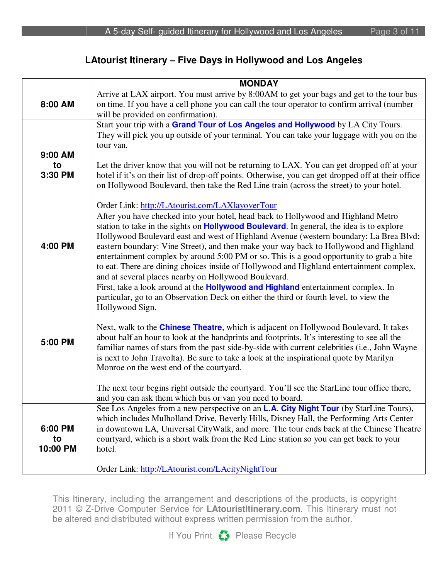#### **LAtourist Itinerary – Five Days in Hollywood and Los Angeles**

|                           | <b>MONDAY</b>                                                                                                                                                                                                                                                                                                                                                                                                                                                                                                                                                                                                                                                                                                                                                                                              |
|---------------------------|------------------------------------------------------------------------------------------------------------------------------------------------------------------------------------------------------------------------------------------------------------------------------------------------------------------------------------------------------------------------------------------------------------------------------------------------------------------------------------------------------------------------------------------------------------------------------------------------------------------------------------------------------------------------------------------------------------------------------------------------------------------------------------------------------------|
| 8:00 AM                   | Arrive at LAX airport. You must arrive by 8:00AM to get your bags and get to the tour bus<br>on time. If you have a cell phone you can call the tour operator to confirm arrival (number<br>will be provided on confirmation).                                                                                                                                                                                                                                                                                                                                                                                                                                                                                                                                                                             |
| 9:00 AM<br>to             | Start your trip with a Grand Tour of Los Angeles and Hollywood by LA City Tours.<br>They will pick you up outside of your terminal. You can take your luggage with you on the<br>tour van.<br>Let the driver know that you will not be returning to LAX. You can get dropped off at your                                                                                                                                                                                                                                                                                                                                                                                                                                                                                                                   |
| 3:30 PM                   | hotel if it's on their list of drop-off points. Otherwise, you can get dropped off at their office<br>on Hollywood Boulevard, then take the Red Line train (across the street) to your hotel.                                                                                                                                                                                                                                                                                                                                                                                                                                                                                                                                                                                                              |
|                           | Order Link: http://LAtourist.com/LAXlayoverTour                                                                                                                                                                                                                                                                                                                                                                                                                                                                                                                                                                                                                                                                                                                                                            |
| 4:00 PM                   | After you have checked into your hotel, head back to Hollywood and Highland Metro<br>station to take in the sights on <b>Hollywood Boulevard</b> . In general, the idea is to explore<br>Hollywood Boulevard east and west of Highland Avenue (western boundary: La Brea Blvd;<br>eastern boundary: Vine Street), and then make your way back to Hollywood and Highland<br>entertainment complex by around 5:00 PM or so. This is a good opportunity to grab a bite<br>to eat. There are dining choices inside of Hollywood and Highland entertainment complex,<br>and at several places nearby on Hollywood Boulevard.                                                                                                                                                                                    |
| 5:00 PM                   | First, take a look around at the <b>Hollywood and Highland</b> entertainment complex. In<br>particular, go to an Observation Deck on either the third or fourth level, to view the<br>Hollywood Sign.<br>Next, walk to the <b>Chinese Theatre</b> , which is adjacent on Hollywood Boulevard. It takes<br>about half an hour to look at the handprints and footprints. It's interesting to see all the<br>familiar names of stars from the past side-by-side with current celebrities (i.e., John Wayne<br>is next to John Travolta). Be sure to take a look at the inspirational quote by Marilyn<br>Monroe on the west end of the courtyard.<br>The next tour begins right outside the courtyard. You'll see the StarLine tour office there,<br>and you can ask them which bus or van you need to board. |
|                           | See Los Angeles from a new perspective on an <b>L.A. City Night Tour</b> (by StarLine Tours),                                                                                                                                                                                                                                                                                                                                                                                                                                                                                                                                                                                                                                                                                                              |
| 6:00 PM<br>to<br>10:00 PM | which includes Mulholland Drive, Beverly Hills, Disney Hall, the Performing Arts Center<br>in downtown LA, Universal CityWalk, and more. The tour ends back at the Chinese Theatre<br>courtyard, which is a short walk from the Red Line station so you can get back to your<br>hotel.                                                                                                                                                                                                                                                                                                                                                                                                                                                                                                                     |
|                           | Order Link: http://LAtourist.com/LAcityNightTour                                                                                                                                                                                                                                                                                                                                                                                                                                                                                                                                                                                                                                                                                                                                                           |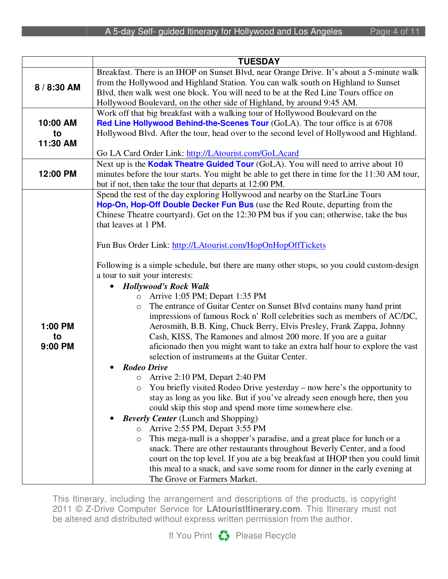|             | <b>TUESDAY</b>                                                                                                                                               |
|-------------|--------------------------------------------------------------------------------------------------------------------------------------------------------------|
|             | Breakfast. There is an IHOP on Sunset Blvd, near Orange Drive. It's about a 5-minute walk                                                                    |
| 8 / 8:30 AM | from the Hollywood and Highland Station. You can walk south on Highland to Sunset                                                                            |
|             | Blvd, then walk west one block. You will need to be at the Red Line Tours office on                                                                          |
|             | Hollywood Boulevard, on the other side of Highland, by around 9:45 AM.                                                                                       |
|             | Work off that big breakfast with a walking tour of Hollywood Boulevard on the                                                                                |
| 10:00 AM    | Red Line Hollywood Behind-the-Scenes Tour (GoLA). The tour office is at 6708                                                                                 |
| to          | Hollywood Blvd. After the tour, head over to the second level of Hollywood and Highland.                                                                     |
| 11:30 AM    |                                                                                                                                                              |
|             | Go LA Card Order Link: http://LAtourist.com/GoLAcard                                                                                                         |
|             | Next up is the <b>Kodak Theatre Guided Tour</b> (GoLA). You will need to arrive about 10                                                                     |
| 12:00 PM    | minutes before the tour starts. You might be able to get there in time for the 11:30 AM tour,                                                                |
|             | but if not, then take the tour that departs at 12:00 PM.                                                                                                     |
|             | Spend the rest of the day exploring Hollywood and nearby on the StarLine Tours                                                                               |
|             | Hop-On, Hop-Off Double Decker Fun Bus (use the Red Route, departing from the                                                                                 |
|             | Chinese Theatre courtyard). Get on the 12:30 PM bus if you can; otherwise, take the bus                                                                      |
|             | that leaves at 1 PM.                                                                                                                                         |
|             |                                                                                                                                                              |
|             | Fun Bus Order Link: http://LAtourist.com/HopOnHopOffTickets                                                                                                  |
|             |                                                                                                                                                              |
|             | Following is a simple schedule, but there are many other stops, so you could custom-design                                                                   |
|             | a tour to suit your interests:                                                                                                                               |
|             | <b>Hollywood's Rock Walk</b>                                                                                                                                 |
|             | Arrive 1:05 PM; Depart 1:35 PM<br>$\circ$                                                                                                                    |
|             | The entrance of Guitar Center on Sunset Blvd contains many hand print<br>$\circ$<br>impressions of famous Rock n' Roll celebrities such as members of AC/DC, |
| 1:00 PM     | Aerosmith, B.B. King, Chuck Berry, Elvis Presley, Frank Zappa, Johnny                                                                                        |
| to          | Cash, KISS, The Ramones and almost 200 more. If you are a guitar                                                                                             |
| 9:00 PM     | aficionado then you might want to take an extra half hour to explore the vast                                                                                |
|             | selection of instruments at the Guitar Center.                                                                                                               |
|             | <b>Rodeo Drive</b>                                                                                                                                           |
|             | o Arrive 2:10 PM, Depart 2:40 PM                                                                                                                             |
|             | You briefly visited Rodeo Drive yesterday – now here's the opportunity to<br>O                                                                               |
|             | stay as long as you like. But if you've already seen enough here, then you                                                                                   |
|             | could skip this stop and spend more time somewhere else.                                                                                                     |
|             | <b>Beverly Center</b> (Lunch and Shopping)                                                                                                                   |
|             | Arrive 2:55 PM, Depart 3:55 PM<br>$\circ$                                                                                                                    |
|             | This mega-mall is a shopper's paradise, and a great place for lunch or a<br>$\circlearrowright$                                                              |
|             | snack. There are other restaurants throughout Beverly Center, and a food                                                                                     |
|             | court on the top level. If you ate a big breakfast at IHOP then you could limit                                                                              |
|             | this meal to a snack, and save some room for dinner in the early evening at                                                                                  |
|             | The Grove or Farmers Market.                                                                                                                                 |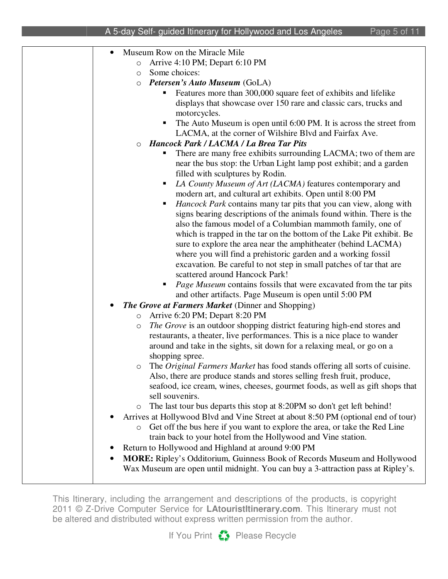| Museum Row on the Miracle Mile                                                                                                 |
|--------------------------------------------------------------------------------------------------------------------------------|
| Arrive 4:10 PM; Depart 6:10 PM<br>$\circ$                                                                                      |
| Some choices:<br>$\circ$                                                                                                       |
| O Petersen's Auto Museum (GoLA)                                                                                                |
| Features more than 300,000 square feet of exhibits and lifelike                                                                |
| displays that showcase over 150 rare and classic cars, trucks and                                                              |
| motorcycles.                                                                                                                   |
| The Auto Museum is open until 6:00 PM. It is across the street from                                                            |
| LACMA, at the corner of Wilshire Blvd and Fairfax Ave.                                                                         |
| <b>Hancock Park / LACMA / La Brea Tar Pits</b>                                                                                 |
| There are many free exhibits surrounding LACMA; two of them are                                                                |
| near the bus stop: the Urban Light lamp post exhibit; and a garden                                                             |
| filled with sculptures by Rodin.                                                                                               |
| LA County Museum of Art (LACMA) features contemporary and                                                                      |
| modern art, and cultural art exhibits. Open until 8:00 PM                                                                      |
| Hancock Park contains many tar pits that you can view, along with<br>п                                                         |
| signs bearing descriptions of the animals found within. There is the                                                           |
| also the famous model of a Columbian mammoth family, one of                                                                    |
| which is trapped in the tar on the bottom of the Lake Pit exhibit. Be                                                          |
| sure to explore the area near the amphitheater (behind LACMA)<br>where you will find a prehistoric garden and a working fossil |
| excavation. Be careful to not step in small patches of tar that are                                                            |
| scattered around Hancock Park!                                                                                                 |
| Page Museum contains fossils that were excavated from the tar pits                                                             |
| and other artifacts. Page Museum is open until 5:00 PM                                                                         |
| <b>The Grove at Farmers Market (Dinner and Shopping)</b>                                                                       |
| Arrive 6:20 PM; Depart 8:20 PM<br>$\circlearrowright$                                                                          |
| The Grove is an outdoor shopping district featuring high-end stores and<br>$\bigcirc$                                          |
| restaurants, a theater, live performances. This is a nice place to wander                                                      |
| around and take in the sights, sit down for a relaxing meal, or go on a                                                        |
| shopping spree.                                                                                                                |
| The <i>Original Farmers Market</i> has food stands offering all sorts of cuisine.<br>$\circ$                                   |
| Also, there are produce stands and stores selling fresh fruit, produce,                                                        |
| seafood, ice cream, wines, cheeses, gourmet foods, as well as gift shops that                                                  |
| sell souvenirs.                                                                                                                |
| The last tour bus departs this stop at 8:20PM so don't get left behind!<br>$\circ$                                             |
| Arrives at Hollywood Blvd and Vine Street at about 8:50 PM (optional end of tour)                                              |
| Get off the bus here if you want to explore the area, or take the Red Line<br>$\bigcirc$                                       |
| train back to your hotel from the Hollywood and Vine station.                                                                  |
| Return to Hollywood and Highland at around 9:00 PM                                                                             |
| MORE: Ripley's Odditorium, Guinness Book of Records Museum and Hollywood                                                       |
| Wax Museum are open until midnight. You can buy a 3-attraction pass at Ripley's.                                               |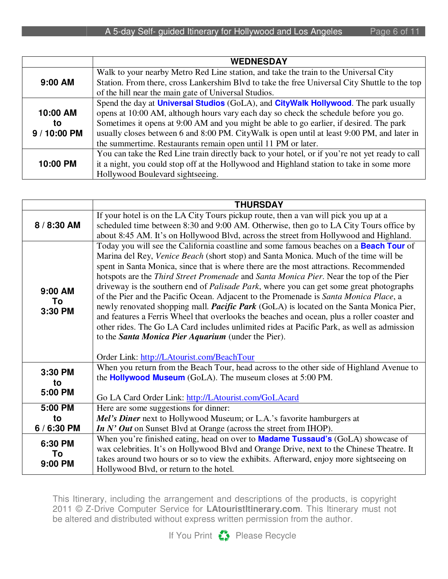|              | <b>WEDNESDAY</b>                                                                                   |
|--------------|----------------------------------------------------------------------------------------------------|
|              | Walk to your nearby Metro Red Line station, and take the train to the Universal City               |
| 9:00 AM      | Station. From there, cross Lankershim Blvd to take the free Universal City Shuttle to the top      |
|              | of the hill near the main gate of Universal Studios.                                               |
|              | Spend the day at <b>Universal Studios</b> (GoLA), and <b>CityWalk Hollywood</b> . The park usually |
| 10:00 AM     | opens at 10:00 AM, although hours vary each day so check the schedule before you go.               |
| to           | Sometimes it opens at 9:00 AM and you might be able to go earlier, if desired. The park            |
| 9 / 10:00 PM | usually closes between 6 and 8:00 PM. CityWalk is open until at least 9:00 PM, and later in        |
|              | the summertime. Restaurants remain open until 11 PM or later.                                      |
|              | You can take the Red Line train directly back to your hotel, or if you're not yet ready to call    |
| 10:00 PM     | it a night, you could stop off at the Hollywood and Highland station to take in some more          |
|              | Hollywood Boulevard sightseeing.                                                                   |

|                          | <b>THURSDAY</b>                                                                                                                                                                                                                                                                                                                                                                                                                                                                                                                                                                                                                                                                                                                                                                                                                                                                                                                                                                   |
|--------------------------|-----------------------------------------------------------------------------------------------------------------------------------------------------------------------------------------------------------------------------------------------------------------------------------------------------------------------------------------------------------------------------------------------------------------------------------------------------------------------------------------------------------------------------------------------------------------------------------------------------------------------------------------------------------------------------------------------------------------------------------------------------------------------------------------------------------------------------------------------------------------------------------------------------------------------------------------------------------------------------------|
| 8 / 8:30 AM              | If your hotel is on the LA City Tours pickup route, then a van will pick you up at a<br>scheduled time between 8:30 and 9:00 AM. Otherwise, then go to LA City Tours office by                                                                                                                                                                                                                                                                                                                                                                                                                                                                                                                                                                                                                                                                                                                                                                                                    |
|                          | about 8:45 AM. It's on Hollywood Blvd, across the street from Hollywood and Highland.                                                                                                                                                                                                                                                                                                                                                                                                                                                                                                                                                                                                                                                                                                                                                                                                                                                                                             |
| 9:00 AM<br>To<br>3:30 PM | Today you will see the California coastline and some famous beaches on a <b>Beach Tour</b> of<br>Marina del Rey, Venice Beach (short stop) and Santa Monica. Much of the time will be<br>spent in Santa Monica, since that is where there are the most attractions. Recommended<br>hotspots are the Third Street Promenade and Santa Monica Pier. Near the top of the Pier<br>driveway is the southern end of <i>Palisade Park</i> , where you can get some great photographs<br>of the Pier and the Pacific Ocean. Adjacent to the Promenade is Santa Monica Place, a<br>newly renovated shopping mall. <i>Pacific Park</i> (GoLA) is located on the Santa Monica Pier,<br>and features a Ferris Wheel that overlooks the beaches and ocean, plus a roller coaster and<br>other rides. The Go LA Card includes unlimited rides at Pacific Park, as well as admission<br>to the <b>Santa Monica Pier Aquarium</b> (under the Pier).<br>Order Link: http://LAtourist.com/BeachTour |
| 3:30 PM<br>to            | When you return from the Beach Tour, head across to the other side of Highland Avenue to<br>the <b>Hollywood Museum</b> (GoLA). The museum closes at 5:00 PM.                                                                                                                                                                                                                                                                                                                                                                                                                                                                                                                                                                                                                                                                                                                                                                                                                     |
| 5:00 PM                  | Go LA Card Order Link: http://LAtourist.com/GoLAcard                                                                                                                                                                                                                                                                                                                                                                                                                                                                                                                                                                                                                                                                                                                                                                                                                                                                                                                              |
| 5:00 PM                  | Here are some suggestions for dinner:                                                                                                                                                                                                                                                                                                                                                                                                                                                                                                                                                                                                                                                                                                                                                                                                                                                                                                                                             |
| to                       | Mel's Diner next to Hollywood Museum; or L.A.'s favorite hamburgers at                                                                                                                                                                                                                                                                                                                                                                                                                                                                                                                                                                                                                                                                                                                                                                                                                                                                                                            |
| 6 / 6:30 PM              | In N' Out on Sunset Blvd at Orange (across the street from IHOP).                                                                                                                                                                                                                                                                                                                                                                                                                                                                                                                                                                                                                                                                                                                                                                                                                                                                                                                 |
| 6:30 PM                  | When you're finished eating, head on over to <b>Madame Tussaud's</b> (GoLA) showcase of                                                                                                                                                                                                                                                                                                                                                                                                                                                                                                                                                                                                                                                                                                                                                                                                                                                                                           |
| To                       | wax celebrities. It's on Hollywood Blvd and Orange Drive, next to the Chinese Theatre. It                                                                                                                                                                                                                                                                                                                                                                                                                                                                                                                                                                                                                                                                                                                                                                                                                                                                                         |
| 9:00 PM                  | takes around two hours or so to view the exhibits. Afterward, enjoy more sightseeing on<br>Hollywood Blvd, or return to the hotel.                                                                                                                                                                                                                                                                                                                                                                                                                                                                                                                                                                                                                                                                                                                                                                                                                                                |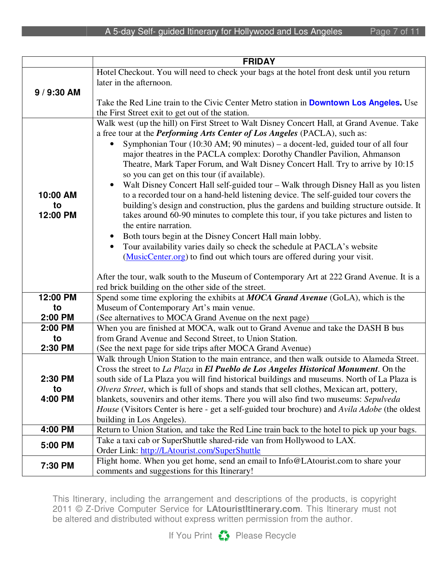|                            | <b>FRIDAY</b>                                                                                                                                                                                                                                                                                                                                                                                                                                                                                                                                                                                                                                                                                                                                                                                                                                                                                                                                    |
|----------------------------|--------------------------------------------------------------------------------------------------------------------------------------------------------------------------------------------------------------------------------------------------------------------------------------------------------------------------------------------------------------------------------------------------------------------------------------------------------------------------------------------------------------------------------------------------------------------------------------------------------------------------------------------------------------------------------------------------------------------------------------------------------------------------------------------------------------------------------------------------------------------------------------------------------------------------------------------------|
|                            | Hotel Checkout. You will need to check your bags at the hotel front desk until you return                                                                                                                                                                                                                                                                                                                                                                                                                                                                                                                                                                                                                                                                                                                                                                                                                                                        |
|                            | later in the afternoon.                                                                                                                                                                                                                                                                                                                                                                                                                                                                                                                                                                                                                                                                                                                                                                                                                                                                                                                          |
| 9 / 9:30 AM                |                                                                                                                                                                                                                                                                                                                                                                                                                                                                                                                                                                                                                                                                                                                                                                                                                                                                                                                                                  |
|                            | Take the Red Line train to the Civic Center Metro station in <b>Downtown Los Angeles.</b> Use                                                                                                                                                                                                                                                                                                                                                                                                                                                                                                                                                                                                                                                                                                                                                                                                                                                    |
|                            | the First Street exit to get out of the station.                                                                                                                                                                                                                                                                                                                                                                                                                                                                                                                                                                                                                                                                                                                                                                                                                                                                                                 |
| 10:00 AM<br>to<br>12:00 PM | Walk west (up the hill) on First Street to Walt Disney Concert Hall, at Grand Avenue. Take<br>a free tour at the <i>Performing Arts Center of Los Angeles</i> (PACLA), such as:<br>Symphonian Tour (10:30 AM; 90 minutes) – a docent-led, guided tour of all four<br>$\bullet$<br>major theatres in the PACLA complex: Dorothy Chandler Pavilion, Ahmanson<br>Theatre, Mark Taper Forum, and Walt Disney Concert Hall. Try to arrive by 10:15<br>so you can get on this tour (if available).<br>Walt Disney Concert Hall self-guided tour - Walk through Disney Hall as you listen<br>to a recorded tour on a hand-held listening device. The self-guided tour covers the<br>building's design and construction, plus the gardens and building structure outside. It<br>takes around 60-90 minutes to complete this tour, if you take pictures and listen to<br>the entire narration.<br>Both tours begin at the Disney Concert Hall main lobby. |
|                            | Tour availability varies daily so check the schedule at PACLA's website<br>$\bullet$<br>(MusicCenter.org) to find out which tours are offered during your visit.<br>After the tour, walk south to the Museum of Contemporary Art at 222 Grand Avenue. It is a<br>red brick building on the other side of the street.                                                                                                                                                                                                                                                                                                                                                                                                                                                                                                                                                                                                                             |
| 12:00 PM                   | Spend some time exploring the exhibits at MOCA Grand Avenue (GoLA), which is the                                                                                                                                                                                                                                                                                                                                                                                                                                                                                                                                                                                                                                                                                                                                                                                                                                                                 |
| to                         | Museum of Contemporary Art's main venue.                                                                                                                                                                                                                                                                                                                                                                                                                                                                                                                                                                                                                                                                                                                                                                                                                                                                                                         |
| 2:00 PM                    | (See alternatives to MOCA Grand Avenue on the next page)                                                                                                                                                                                                                                                                                                                                                                                                                                                                                                                                                                                                                                                                                                                                                                                                                                                                                         |
| 2:00 PM                    | When you are finished at MOCA, walk out to Grand Avenue and take the DASH B bus                                                                                                                                                                                                                                                                                                                                                                                                                                                                                                                                                                                                                                                                                                                                                                                                                                                                  |
| to                         | from Grand Avenue and Second Street, to Union Station.                                                                                                                                                                                                                                                                                                                                                                                                                                                                                                                                                                                                                                                                                                                                                                                                                                                                                           |
| 2:30 PM                    | (See the next page for side trips after MOCA Grand Avenue)                                                                                                                                                                                                                                                                                                                                                                                                                                                                                                                                                                                                                                                                                                                                                                                                                                                                                       |
|                            | Walk through Union Station to the main entrance, and then walk outside to Alameda Street.                                                                                                                                                                                                                                                                                                                                                                                                                                                                                                                                                                                                                                                                                                                                                                                                                                                        |
|                            | Cross the street to La Plaza in El Pueblo de Los Angeles Historical Monument. On the                                                                                                                                                                                                                                                                                                                                                                                                                                                                                                                                                                                                                                                                                                                                                                                                                                                             |
| 2:30 PM                    | south side of La Plaza you will find historical buildings and museums. North of La Plaza is                                                                                                                                                                                                                                                                                                                                                                                                                                                                                                                                                                                                                                                                                                                                                                                                                                                      |
| to                         | Olvera Street, which is full of shops and stands that sell clothes, Mexican art, pottery,                                                                                                                                                                                                                                                                                                                                                                                                                                                                                                                                                                                                                                                                                                                                                                                                                                                        |
| 4:00 PM                    | blankets, souvenirs and other items. There you will also find two museums: Sepulveda                                                                                                                                                                                                                                                                                                                                                                                                                                                                                                                                                                                                                                                                                                                                                                                                                                                             |
|                            | House (Visitors Center is here - get a self-guided tour brochure) and Avila Adobe (the oldest<br>building in Los Angeles).                                                                                                                                                                                                                                                                                                                                                                                                                                                                                                                                                                                                                                                                                                                                                                                                                       |
| 4:00 PM                    | Return to Union Station, and take the Red Line train back to the hotel to pick up your bags.                                                                                                                                                                                                                                                                                                                                                                                                                                                                                                                                                                                                                                                                                                                                                                                                                                                     |
|                            | Take a taxi cab or SuperShuttle shared-ride van from Hollywood to LAX.                                                                                                                                                                                                                                                                                                                                                                                                                                                                                                                                                                                                                                                                                                                                                                                                                                                                           |
| 5:00 PM                    | Order Link: http://LAtourist.com/SuperShuttle                                                                                                                                                                                                                                                                                                                                                                                                                                                                                                                                                                                                                                                                                                                                                                                                                                                                                                    |
|                            | Flight home. When you get home, send an email to Info@LAtourist.com to share your                                                                                                                                                                                                                                                                                                                                                                                                                                                                                                                                                                                                                                                                                                                                                                                                                                                                |
| 7:30 PM                    | comments and suggestions for this Itinerary!                                                                                                                                                                                                                                                                                                                                                                                                                                                                                                                                                                                                                                                                                                                                                                                                                                                                                                     |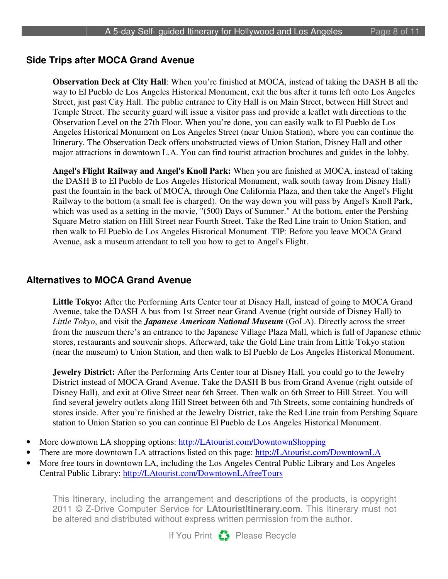#### **Side Trips after MOCA Grand Avenue**

**Observation Deck at City Hall**: When you're finished at MOCA, instead of taking the DASH B all the way to El Pueblo de Los Angeles Historical Monument, exit the bus after it turns left onto Los Angeles Street, just past City Hall. The public entrance to City Hall is on Main Street, between Hill Street and Temple Street. The security guard will issue a visitor pass and provide a leaflet with directions to the Observation Level on the 27th Floor. When you're done, you can easily walk to El Pueblo de Los Angeles Historical Monument on Los Angeles Street (near Union Station), where you can continue the Itinerary. The Observation Deck offers unobstructed views of Union Station, Disney Hall and other major attractions in downtown L.A. You can find tourist attraction brochures and guides in the lobby.

**Angel's Flight Railway and Angel's Knoll Park:** When you are finished at MOCA, instead of taking the DASH B to El Pueblo de Los Angeles Historical Monument, walk south (away from Disney Hall) past the fountain in the back of MOCA, through One California Plaza, and then take the Angel's Flight Railway to the bottom (a small fee is charged). On the way down you will pass by Angel's Knoll Park, which was used as a setting in the movie, "(500) Days of Summer." At the bottom, enter the Pershing Square Metro station on Hill Street near Fourth Street. Take the Red Line train to Union Station, and then walk to El Pueblo de Los Angeles Historical Monument. TIP: Before you leave MOCA Grand Avenue, ask a museum attendant to tell you how to get to Angel's Flight.

#### **Alternatives to MOCA Grand Avenue**

**Little Tokyo:** After the Performing Arts Center tour at Disney Hall, instead of going to MOCA Grand Avenue, take the DASH A bus from 1st Street near Grand Avenue (right outside of Disney Hall) to *Little Tokyo*, and visit the *Japanese American National Museum* (GoLA). Directly across the street from the museum there's an entrance to the Japanese Village Plaza Mall, which is full of Japanese ethnic stores, restaurants and souvenir shops. Afterward, take the Gold Line train from Little Tokyo station (near the museum) to Union Station, and then walk to El Pueblo de Los Angeles Historical Monument.

**Jewelry District:** After the Performing Arts Center tour at Disney Hall, you could go to the Jewelry District instead of MOCA Grand Avenue. Take the DASH B bus from Grand Avenue (right outside of Disney Hall), and exit at Olive Street near 6th Street. Then walk on 6th Street to Hill Street. You will find several jewelry outlets along Hill Street between 6th and 7th Streets, some containing hundreds of stores inside. After you're finished at the Jewelry District, take the Red Line train from Pershing Square station to Union Station so you can continue El Pueblo de Los Angeles Historical Monument.

- More downtown LA shopping options: http://LAtourist.com/DowntownShopping
- There are more downtown LA attractions listed on this page: http://LAtourist.com/DowntownLA
- More free tours in downtown LA, including the Los Angeles Central Public Library and Los Angeles Central Public Library: http://LAtourist.com/DowntownLAfreeTours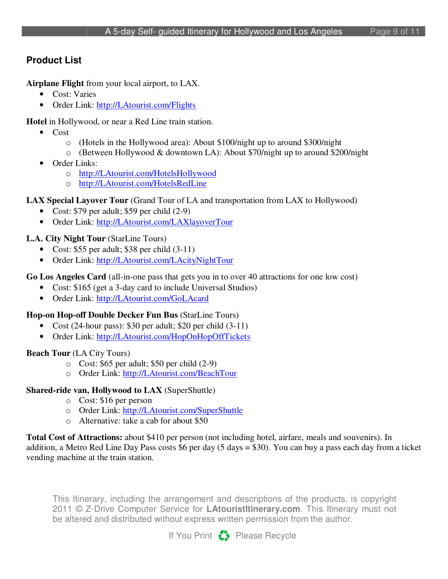# **Product List**

**Airplane Flight** from your local airport, to LAX.

- Cost: Varies
- Order Link: http://LAtourist.com/Flights

**Hotel** in Hollywood, or near a Red Line train station.

- Cost
	- o (Hotels in the Hollywood area): About \$100/night up to around \$300/night
	- o (Between Hollywood & downtown LA): About \$70/night up to around \$200/night
- Order Links:
	- o http://LAtourist.com/HotelsHollywood
	- o http://LAtourist.com/HotelsRedLine

# **LAX Special Layover Tour** (Grand Tour of LA and transportation from LAX to Hollywood)

- Cost: \$79 per adult; \$59 per child (2-9)
- Order Link: http://LAtourist.com/LAXlayoverTour

# **L.A. City Night Tour** (StarLine Tours)

- Cost: \$55 per adult; \$38 per child  $(3-11)$
- Order Link: http://LAtourist.com/LAcityNightTour

# **Go Los Angeles Card** (all-in-one pass that gets you in to over 40 attractions for one low cost)

- Cost: \$165 (get a 3-day card to include Universal Studios)
- Order Link: http://LAtourist.com/GoLAcard

# **Hop-on Hop-off Double Decker Fun Bus** (StarLine Tours)

- Cost (24-hour pass): \$30 per adult; \$20 per child (3-11)
- Order Link: http://LAtourist.com/HopOnHopOffTickets

# **Beach Tour** (LA City Tours)

- o Cost: \$65 per adult; \$50 per child (2-9)
- o Order Link: http://LAtourist.com/BeachTour

# **Shared-ride van, Hollywood to LAX** (SuperShuttle)

- o Cost: \$16 per person
- o Order Link: http://LAtourist.com/SuperShuttle
- o Alternative: take a cab for about \$50

**Total Cost of Attractions:** about \$410 per person (not including hotel, airfare, meals and souvenirs). In addition, a Metro Red Line Day Pass costs \$6 per day (5 days = \$30). You can buy a pass each day from a ticket vending machine at the train station.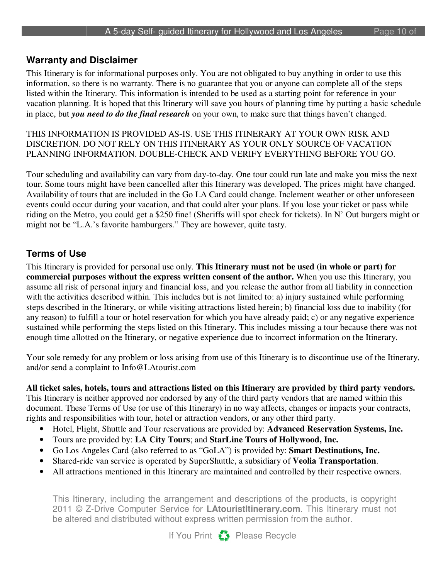#### **Warranty and Disclaimer**

This Itinerary is for informational purposes only. You are not obligated to buy anything in order to use this information, so there is no warranty. There is no guarantee that you or anyone can complete all of the steps listed within the Itinerary. This information is intended to be used as a starting point for reference in your vacation planning. It is hoped that this Itinerary will save you hours of planning time by putting a basic schedule in place, but *you need to do the final research* on your own, to make sure that things haven't changed.

#### THIS INFORMATION IS PROVIDED AS-IS. USE THIS ITINERARY AT YOUR OWN RISK AND DISCRETION. DO NOT RELY ON THIS ITINERARY AS YOUR ONLY SOURCE OF VACATION PLANNING INFORMATION. DOUBLE-CHECK AND VERIFY EVERYTHING BEFORE YOU GO.

Tour scheduling and availability can vary from day-to-day. One tour could run late and make you miss the next tour. Some tours might have been cancelled after this Itinerary was developed. The prices might have changed. Availability of tours that are included in the Go LA Card could change. Inclement weather or other unforeseen events could occur during your vacation, and that could alter your plans. If you lose your ticket or pass while riding on the Metro, you could get a \$250 fine! (Sheriffs will spot check for tickets). In N' Out burgers might or might not be "L.A.'s favorite hamburgers." They are however, quite tasty.

### **Terms of Use**

This Itinerary is provided for personal use only. **This Itinerary must not be used (in whole or part) for commercial purposes without the express written consent of the author.** When you use this Itinerary, you assume all risk of personal injury and financial loss, and you release the author from all liability in connection with the activities described within. This includes but is not limited to: a) injury sustained while performing steps described in the Itinerary, or while visiting attractions listed herein; b) financial loss due to inability (for any reason) to fulfill a tour or hotel reservation for which you have already paid; c) or any negative experience sustained while performing the steps listed on this Itinerary. This includes missing a tour because there was not enough time allotted on the Itinerary, or negative experience due to incorrect information on the Itinerary.

Your sole remedy for any problem or loss arising from use of this Itinerary is to discontinue use of the Itinerary, and/or send a complaint to Info@LAtourist.com

**All ticket sales, hotels, tours and attractions listed on this Itinerary are provided by third party vendors.** This Itinerary is neither approved nor endorsed by any of the third party vendors that are named within this document. These Terms of Use (or use of this Itinerary) in no way affects, changes or impacts your contracts, rights and responsibilities with tour, hotel or attraction vendors, or any other third party.

- Hotel, Flight, Shuttle and Tour reservations are provided by: **Advanced Reservation Systems, Inc.**
- Tours are provided by: **LA City Tours**; and **StarLine Tours of Hollywood, Inc.**
- Go Los Angeles Card (also referred to as "GoLA") is provided by: **Smart Destinations, Inc.**
- Shared-ride van service is operated by SuperShuttle, a subsidiary of **Veolia Transportation**.
- All attractions mentioned in this Itinerary are maintained and controlled by their respective owners.